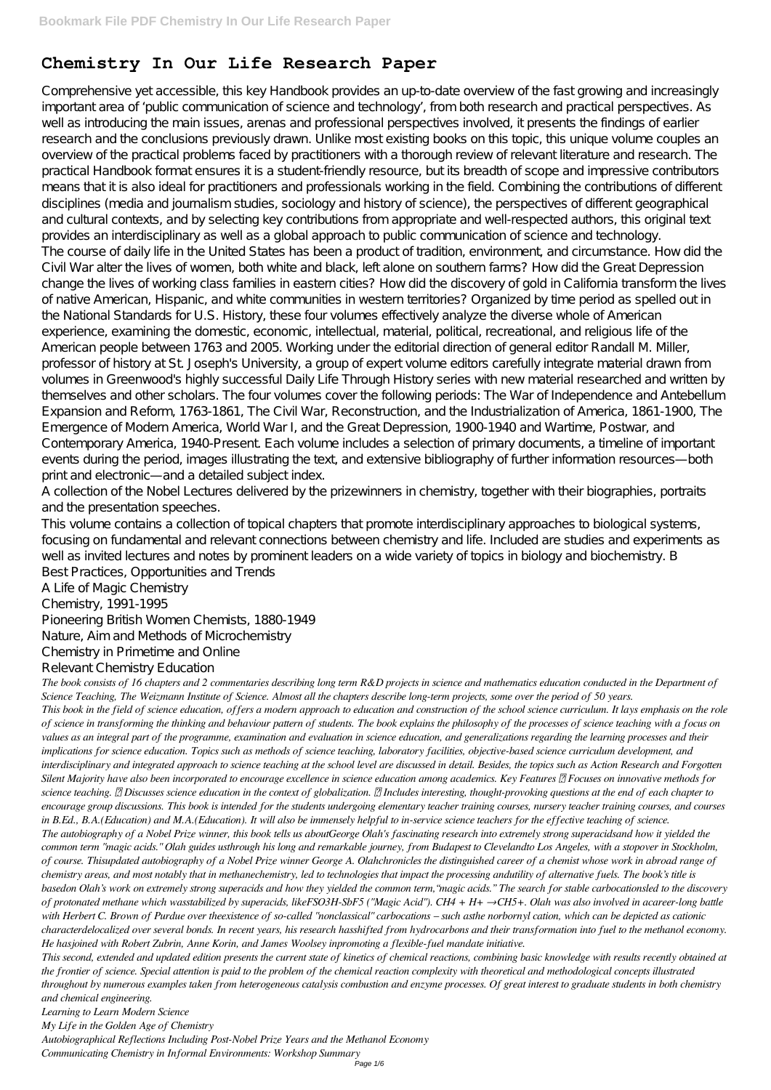## **Chemistry In Our Life Research Paper**

Comprehensive yet accessible, this key Handbook provides an up-to-date overview of the fast growing and increasingly important area of 'public communication of science and technology', from both research and practical perspectives. As well as introducing the main issues, arenas and professional perspectives involved, it presents the findings of earlier research and the conclusions previously drawn. Unlike most existing books on this topic, this unique volume couples an overview of the practical problems faced by practitioners with a thorough review of relevant literature and research. The practical Handbook format ensures it is a student-friendly resource, but its breadth of scope and impressive contributors means that it is also ideal for practitioners and professionals working in the field. Combining the contributions of different disciplines (media and journalism studies, sociology and history of science), the perspectives of different geographical and cultural contexts, and by selecting key contributions from appropriate and well-respected authors, this original text provides an interdisciplinary as well as a global approach to public communication of science and technology. The course of daily life in the United States has been a product of tradition, environment, and circumstance. How did the Civil War alter the lives of women, both white and black, left alone on southern farms? How did the Great Depression change the lives of working class families in eastern cities? How did the discovery of gold in California transform the lives of native American, Hispanic, and white communities in western territories? Organized by time period as spelled out in the National Standards for U.S. History, these four volumes effectively analyze the diverse whole of American experience, examining the domestic, economic, intellectual, material, political, recreational, and religious life of the American people between 1763 and 2005. Working under the editorial direction of general editor Randall M. Miller, professor of history at St. Joseph's University, a group of expert volume editors carefully integrate material drawn from volumes in Greenwood's highly successful Daily Life Through History series with new material researched and written by themselves and other scholars. The four volumes cover the following periods: The War of Independence and Antebellum Expansion and Reform, 1763-1861, The Civil War, Reconstruction, and the Industrialization of America, 1861-1900, The Emergence of Modern America, World War I, and the Great Depression, 1900-1940 and Wartime, Postwar, and Contemporary America, 1940-Present. Each volume includes a selection of primary documents, a timeline of important events during the period, images illustrating the text, and extensive bibliography of further information resources—both print and electronic—and a detailed subject index.

A collection of the Nobel Lectures delivered by the prizewinners in chemistry, together with their biographies, portraits and the presentation speeches.

This volume contains a collection of topical chapters that promote interdisciplinary approaches to biological systems, focusing on fundamental and relevant connections between chemistry and life. Included are studies and experiments as well as invited lectures and notes by prominent leaders on a wide variety of topics in biology and biochemistry. B Best Practices, Opportunities and Trends

A Life of Magic Chemistry

Chemistry, 1991-1995

Pioneering British Women Chemists, 1880-1949

Nature, Aim and Methods of Microchemistry

Chemistry in Primetime and Online

Relevant Chemistry Education

*The book consists of 16 chapters and 2 commentaries describing long term R&D projects in science and mathematics education conducted in the Department of Science Teaching, The Weizmann Institute of Science. Almost all the chapters describe long-term projects, some over the period of 50 years. This book in the field of science education, offers a modern approach to education and construction of the school science curriculum. It lays emphasis on the role of science in transforming the thinking and behaviour pattern of students. The book explains the philosophy of the processes of science teaching with a focus on values as an integral part of the programme, examination and evaluation in science education, and generalizations regarding the learning processes and their implications for science education. Topics such as methods of science teaching, laboratory facilities, objective-based science curriculum development, and interdisciplinary and integrated approach to science teaching at the school level are discussed in detail. Besides, the topics such as Action Research and Forgotten Silent Majority have also been incorporated to encourage excellence in science education among academics. Key Features Focuses on innovative methods for science teaching. Discusses science education in the context of globalization. Includes interesting, thought-provoking questions at the end of each chapter to encourage group discussions. This book is intended for the students undergoing elementary teacher training courses, nursery teacher training courses, and courses in B.Ed., B.A.(Education) and M.A.(Education). It will also be immensely helpful to in-service science teachers for the effective teaching of science. The autobiography of a Nobel Prize winner, this book tells us aboutGeorge Olah's fascinating research into extremely strong superacidsand how it yielded the common term "magic acids." Olah guides usthrough his long and remarkable journey, from Budapest to Clevelandto Los Angeles, with a stopover in Stockholm, of course. Thisupdated autobiography of a Nobel Prize winner George A. Olahchronicles the distinguished career of a chemist whose work in abroad range of chemistry areas, and most notably that in methanechemistry, led to technologies that impact the processing andutility of alternative fuels. The book's title is basedon Olah's work on extremely strong superacids and how they yielded the common term,"magic acids." The search for stable carbocationsled to the discovery of protonated methane which wasstabilized by superacids, likeFSO3H-SbF5 ("Magic Acid"). CH4 + H+ →CH5+. Olah was also involved in acareer-long battle with Herbert C. Brown of Purdue over theexistence of so-called "nonclassical" carbocations – such asthe norbornyl cation, which can be depicted as cationic characterdelocalized over several bonds. In recent years, his research hasshifted from hydrocarbons and their transformation into fuel to the methanol economy. He hasjoined with Robert Zubrin, Anne Korin, and James Woolsey inpromoting a flexible-fuel mandate initiative. This second, extended and updated edition presents the current state of kinetics of chemical reactions, combining basic knowledge with results recently obtained at the frontier of science. Special attention is paid to the problem of the chemical reaction complexity with theoretical and methodological concepts illustrated throughout by numerous examples taken from heterogeneous catalysis combustion and enzyme processes. Of great interest to graduate students in both chemistry and chemical engineering. Learning to Learn Modern Science My Life in the Golden Age of Chemistry*

*Autobiographical Reflections Including Post-Nobel Prize Years and the Methanol Economy*

*Communicating Chemistry in Informal Environments: Workshop Summary*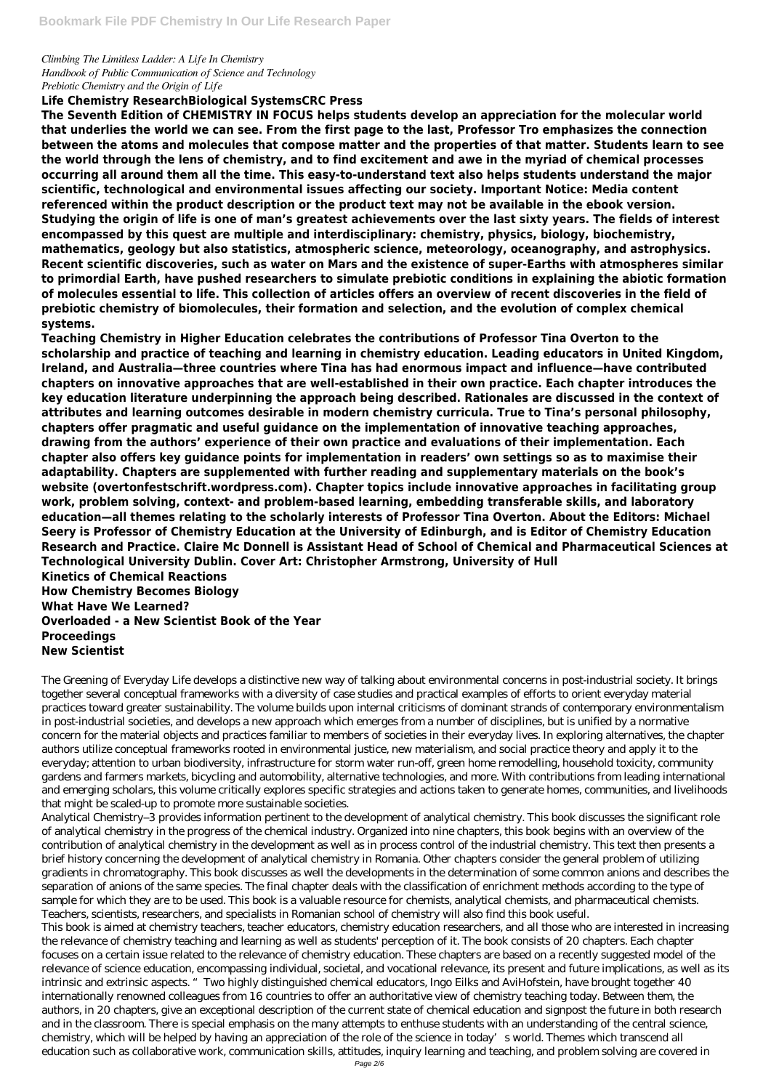*Climbing The Limitless Ladder: A Life In Chemistry Handbook of Public Communication of Science and Technology Prebiotic Chemistry and the Origin of Life*

## **Life Chemistry ResearchBiological SystemsCRC Press**

**The Seventh Edition of CHEMISTRY IN FOCUS helps students develop an appreciation for the molecular world that underlies the world we can see. From the first page to the last, Professor Tro emphasizes the connection between the atoms and molecules that compose matter and the properties of that matter. Students learn to see the world through the lens of chemistry, and to find excitement and awe in the myriad of chemical processes occurring all around them all the time. This easy-to-understand text also helps students understand the major scientific, technological and environmental issues affecting our society. Important Notice: Media content referenced within the product description or the product text may not be available in the ebook version. Studying the origin of life is one of man's greatest achievements over the last sixty years. The fields of interest encompassed by this quest are multiple and interdisciplinary: chemistry, physics, biology, biochemistry, mathematics, geology but also statistics, atmospheric science, meteorology, oceanography, and astrophysics. Recent scientific discoveries, such as water on Mars and the existence of super-Earths with atmospheres similar to primordial Earth, have pushed researchers to simulate prebiotic conditions in explaining the abiotic formation of molecules essential to life. This collection of articles offers an overview of recent discoveries in the field of prebiotic chemistry of biomolecules, their formation and selection, and the evolution of complex chemical systems.**

**Teaching Chemistry in Higher Education celebrates the contributions of Professor Tina Overton to the scholarship and practice of teaching and learning in chemistry education. Leading educators in United Kingdom, Ireland, and Australia—three countries where Tina has had enormous impact and influence—have contributed chapters on innovative approaches that are well-established in their own practice. Each chapter introduces the key education literature underpinning the approach being described. Rationales are discussed in the context of attributes and learning outcomes desirable in modern chemistry curricula. True to Tina's personal philosophy, chapters offer pragmatic and useful guidance on the implementation of innovative teaching approaches, drawing from the authors' experience of their own practice and evaluations of their implementation. Each chapter also offers key guidance points for implementation in readers' own settings so as to maximise their adaptability. Chapters are supplemented with further reading and supplementary materials on the book's website (overtonfestschrift.wordpress.com). Chapter topics include innovative approaches in facilitating group work, problem solving, context- and problem-based learning, embedding transferable skills, and laboratory education—all themes relating to the scholarly interests of Professor Tina Overton. About the Editors: Michael Seery is Professor of Chemistry Education at the University of Edinburgh, and is Editor of Chemistry Education Research and Practice. Claire Mc Donnell is Assistant Head of School of Chemical and Pharmaceutical Sciences at Technological University Dublin. Cover Art: Christopher Armstrong, University of Hull Kinetics of Chemical Reactions How Chemistry Becomes Biology**

**What Have We Learned? Overloaded - a New Scientist Book of the Year Proceedings New Scientist**

The Greening of Everyday Life develops a distinctive new way of talking about environmental concerns in post-industrial society. It brings together several conceptual frameworks with a diversity of case studies and practical examples of efforts to orient everyday material practices toward greater sustainability. The volume builds upon internal criticisms of dominant strands of contemporary environmentalism in post-industrial societies, and develops a new approach which emerges from a number of disciplines, but is unified by a normative concern for the material objects and practices familiar to members of societies in their everyday lives. In exploring alternatives, the chapter authors utilize conceptual frameworks rooted in environmental justice, new materialism, and social practice theory and apply it to the everyday; attention to urban biodiversity, infrastructure for storm water run-off, green home remodelling, household toxicity, community gardens and farmers markets, bicycling and automobility, alternative technologies, and more. With contributions from leading international and emerging scholars, this volume critically explores specific strategies and actions taken to generate homes, communities, and livelihoods that might be scaled-up to promote more sustainable societies.

Analytical Chemistry–3 provides information pertinent to the development of analytical chemistry. This book discusses the significant role

of analytical chemistry in the progress of the chemical industry. Organized into nine chapters, this book begins with an overview of the contribution of analytical chemistry in the development as well as in process control of the industrial chemistry. This text then presents a brief history concerning the development of analytical chemistry in Romania. Other chapters consider the general problem of utilizing gradients in chromatography. This book discusses as well the developments in the determination of some common anions and describes the separation of anions of the same species. The final chapter deals with the classification of enrichment methods according to the type of sample for which they are to be used. This book is a valuable resource for chemists, analytical chemists, and pharmaceutical chemists. Teachers, scientists, researchers, and specialists in Romanian school of chemistry will also find this book useful. This book is aimed at chemistry teachers, teacher educators, chemistry education researchers, and all those who are interested in increasing the relevance of chemistry teaching and learning as well as students' perception of it. The book consists of 20 chapters. Each chapter focuses on a certain issue related to the relevance of chemistry education. These chapters are based on a recently suggested model of the relevance of science education, encompassing individual, societal, and vocational relevance, its present and future implications, as well as its intrinsic and extrinsic aspects. "Two highly distinguished chemical educators, Ingo Eilks and AviHofstein, have brought together 40 internationally renowned colleagues from 16 countries to offer an authoritative view of chemistry teaching today. Between them, the authors, in 20 chapters, give an exceptional description of the current state of chemical education and signpost the future in both research and in the classroom. There is special emphasis on the many attempts to enthuse students with an understanding of the central science, chemistry, which will be helped by having an appreciation of the role of the science in today's world. Themes which transcend all education such as collaborative work, communication skills, attitudes, inquiry learning and teaching, and problem solving are covered in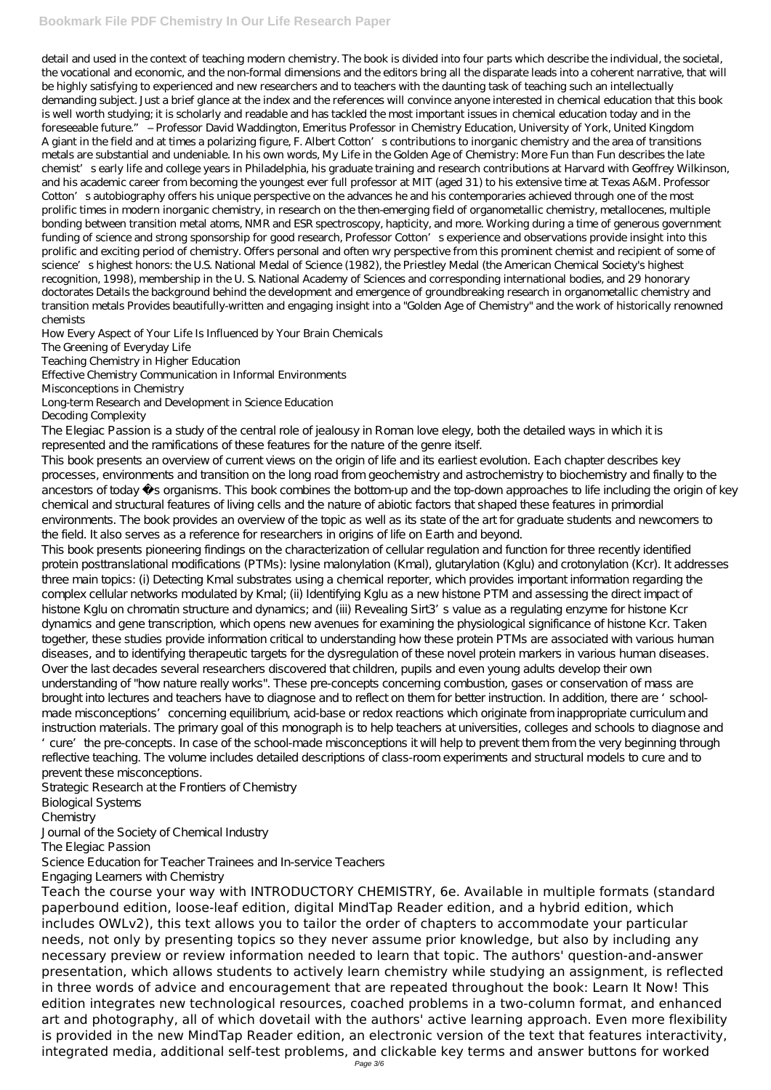detail and used in the context of teaching modern chemistry. The book is divided into four parts which describe the individual, the societal, the vocational and economic, and the non-formal dimensions and the editors bring all the disparate leads into a coherent narrative, that will be highly satisfying to experienced and new researchers and to teachers with the daunting task of teaching such an intellectually demanding subject. Just a brief glance at the index and the references will convince anyone interested in chemical education that this book is well worth studying; it is scholarly and readable and has tackled the most important issues in chemical education today and in the foreseeable future." – Professor David Waddington, Emeritus Professor in Chemistry Education, University of York, United Kingdom A giant in the field and at times a polarizing figure, F. Albert Cotton's contributions to inorganic chemistry and the area of transitions metals are substantial and undeniable. In his own words, My Life in the Golden Age of Chemistry: More Fun than Fun describes the late chemist's early life and college years in Philadelphia, his graduate training and research contributions at Harvard with Geoffrey Wilkinson, and his academic career from becoming the youngest ever full professor at MIT (aged 31) to his extensive time at Texas A&M. Professor Cotton's autobiography offers his unique perspective on the advances he and his contemporaries achieved through one of the most prolific times in modern inorganic chemistry, in research on the then-emerging field of organometallic chemistry, metallocenes, multiple bonding between transition metal atoms, NMR and ESR spectroscopy, hapticity, and more. Working during a time of generous government funding of science and strong sponsorship for good research, Professor Cotton's experience and observations provide insight into this prolific and exciting period of chemistry. Offers personal and often wry perspective from this prominent chemist and recipient of some of science's highest honors: the U.S. National Medal of Science (1982), the Priestley Medal (the American Chemical Society's highest recognition, 1998), membership in the U. S. National Academy of Sciences and corresponding international bodies, and 29 honorary doctorates Details the background behind the development and emergence of groundbreaking research in organometallic chemistry and transition metals Provides beautifully-written and engaging insight into a "Golden Age of Chemistry" and the work of historically renowned chemists

The Elegiac Passion is a study of the central role of jealousy in Roman love elegy, both the detailed ways in which it is represented and the ramifications of these features for the nature of the genre itself.

How Every Aspect of Your Life Is Influenced by Your Brain Chemicals

The Greening of Everyday Life

Teaching Chemistry in Higher Education

Effective Chemistry Communication in Informal Environments

Misconceptions in Chemistry

Long-term Research and Development in Science Education Decoding Complexity

This book presents an overview of current views on the origin of life and its earliest evolution. Each chapter describes key processes, environments and transition on the long road from geochemistry and astrochemistry to biochemistry and finally to the ancestors of today sorganisms. This book combines the bottom-up and the top-down approaches to life including the origin of key chemical and structural features of living cells and the nature of abiotic factors that shaped these features in primordial environments. The book provides an overview of the topic as well as its state of the art for graduate students and newcomers to the field. It also serves as a reference for researchers in origins of life on Earth and beyond.

This book presents pioneering findings on the characterization of cellular regulation and function for three recently identified protein posttranslational modifications (PTMs): lysine malonylation (Kmal), glutarylation (Kglu) and crotonylation (Kcr). It addresses three main topics: (i) Detecting Kmal substrates using a chemical reporter, which provides important information regarding the complex cellular networks modulated by Kmal; (ii) Identifying Kglu as a new histone PTM and assessing the direct impact of histone Kglu on chromatin structure and dynamics; and (iii) Revealing Sirt3's value as a regulating enzyme for histone Kcr dynamics and gene transcription, which opens new avenues for examining the physiological significance of histone Kcr. Taken together, these studies provide information critical to understanding how these protein PTMs are associated with various human diseases, and to identifying therapeutic targets for the dysregulation of these novel protein markers in various human diseases. Over the last decades several researchers discovered that children, pupils and even young adults develop their own understanding of "how nature really works". These pre-concepts concerning combustion, gases or conservation of mass are brought into lectures and teachers have to diagnose and to reflect on them for better instruction. In addition, there are 'schoolmade misconceptions' concerning equilibrium, acid-base or redox reactions which originate from inappropriate curriculum and instruction materials. The primary goal of this monograph is to help teachers at universities, colleges and schools to diagnose and 'cure' the pre-concepts. In case of the school-made misconceptions it will help to prevent them from the very beginning through reflective teaching. The volume includes detailed descriptions of class-room experiments and structural models to cure and to prevent these misconceptions.

Strategic Research at the Frontiers of Chemistry Biological Systems Chemistry

Journal of the Society of Chemical Industry The Elegiac Passion

Science Education for Teacher Trainees and In-service Teachers

Engaging Learners with Chemistry

Teach the course your way with INTRODUCTORY CHEMISTRY, 6e. Available in multiple formats (standard paperbound edition, loose-leaf edition, digital MindTap Reader edition, and a hybrid edition, which includes OWLv2), this text allows you to tailor the order of chapters to accommodate your particular needs, not only by presenting topics so they never assume prior knowledge, but also by including any necessary preview or review information needed to learn that topic. The authors' question-and-answer presentation, which allows students to actively learn chemistry while studying an assignment, is reflected in three words of advice and encouragement that are repeated throughout the book: Learn It Now! This edition integrates new technological resources, coached problems in a two-column format, and enhanced art and photography, all of which dovetail with the authors' active learning approach. Even more flexibility is provided in the new MindTap Reader edition, an electronic version of the text that features interactivity, integrated media, additional self-test problems, and clickable key terms and answer buttons for worked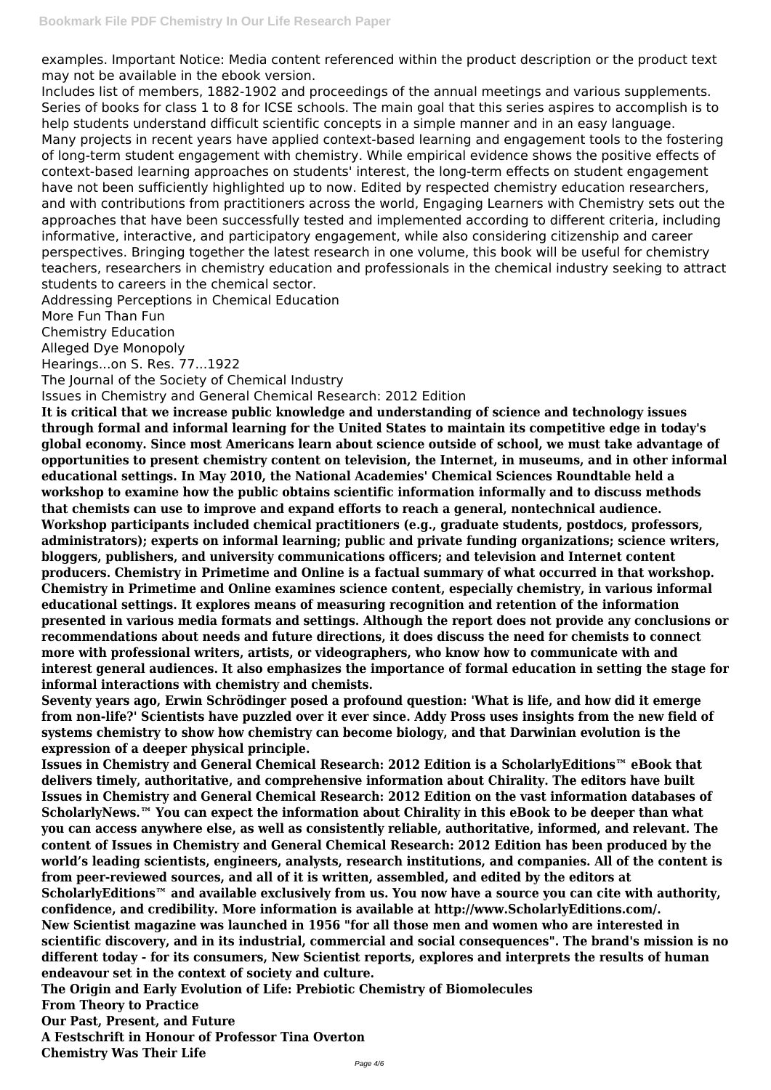examples. Important Notice: Media content referenced within the product description or the product text may not be available in the ebook version.

Includes list of members, 1882-1902 and proceedings of the annual meetings and various supplements. Series of books for class 1 to 8 for ICSE schools. The main goal that this series aspires to accomplish is to help students understand difficult scientific concepts in a simple manner and in an easy language. Many projects in recent years have applied context-based learning and engagement tools to the fostering of long-term student engagement with chemistry. While empirical evidence shows the positive effects of context-based learning approaches on students' interest, the long-term effects on student engagement have not been sufficiently highlighted up to now. Edited by respected chemistry education researchers, and with contributions from practitioners across the world, Engaging Learners with Chemistry sets out the approaches that have been successfully tested and implemented according to different criteria, including informative, interactive, and participatory engagement, while also considering citizenship and career perspectives. Bringing together the latest research in one volume, this book will be useful for chemistry teachers, researchers in chemistry education and professionals in the chemical industry seeking to attract students to careers in the chemical sector.

Addressing Perceptions in Chemical Education

More Fun Than Fun

Chemistry Education

Alleged Dye Monopoly

Hearings...on S. Res. 77...1922

The Journal of the Society of Chemical Industry

Issues in Chemistry and General Chemical Research: 2012 Edition

**It is critical that we increase public knowledge and understanding of science and technology issues through formal and informal learning for the United States to maintain its competitive edge in today's global economy. Since most Americans learn about science outside of school, we must take advantage of opportunities to present chemistry content on television, the Internet, in museums, and in other informal educational settings. In May 2010, the National Academies' Chemical Sciences Roundtable held a workshop to examine how the public obtains scientific information informally and to discuss methods that chemists can use to improve and expand efforts to reach a general, nontechnical audience. Workshop participants included chemical practitioners (e.g., graduate students, postdocs, professors, administrators); experts on informal learning; public and private funding organizations; science writers, bloggers, publishers, and university communications officers; and television and Internet content producers. Chemistry in Primetime and Online is a factual summary of what occurred in that workshop. Chemistry in Primetime and Online examines science content, especially chemistry, in various informal educational settings. It explores means of measuring recognition and retention of the information presented in various media formats and settings. Although the report does not provide any conclusions or recommendations about needs and future directions, it does discuss the need for chemists to connect more with professional writers, artists, or videographers, who know how to communicate with and interest general audiences. It also emphasizes the importance of formal education in setting the stage for informal interactions with chemistry and chemists.**

**Seventy years ago, Erwin Schrödinger posed a profound question: 'What is life, and how did it emerge from non-life?' Scientists have puzzled over it ever since. Addy Pross uses insights from the new field of systems chemistry to show how chemistry can become biology, and that Darwinian evolution is the expression of a deeper physical principle.**

**Issues in Chemistry and General Chemical Research: 2012 Edition is a ScholarlyEditions™ eBook that delivers timely, authoritative, and comprehensive information about Chirality. The editors have built Issues in Chemistry and General Chemical Research: 2012 Edition on the vast information databases of ScholarlyNews.™ You can expect the information about Chirality in this eBook to be deeper than what you can access anywhere else, as well as consistently reliable, authoritative, informed, and relevant. The content of Issues in Chemistry and General Chemical Research: 2012 Edition has been produced by the world's leading scientists, engineers, analysts, research institutions, and companies. All of the content is from peer-reviewed sources, and all of it is written, assembled, and edited by the editors at ScholarlyEditions™ and available exclusively from us. You now have a source you can cite with authority, confidence, and credibility. More information is available at http://www.ScholarlyEditions.com/. New Scientist magazine was launched in 1956 "for all those men and women who are interested in scientific discovery, and in its industrial, commercial and social consequences". The brand's mission is no different today - for its consumers, New Scientist reports, explores and interprets the results of human endeavour set in the context of society and culture. The Origin and Early Evolution of Life: Prebiotic Chemistry of Biomolecules From Theory to Practice Our Past, Present, and Future A Festschrift in Honour of Professor Tina Overton Chemistry Was Their Life**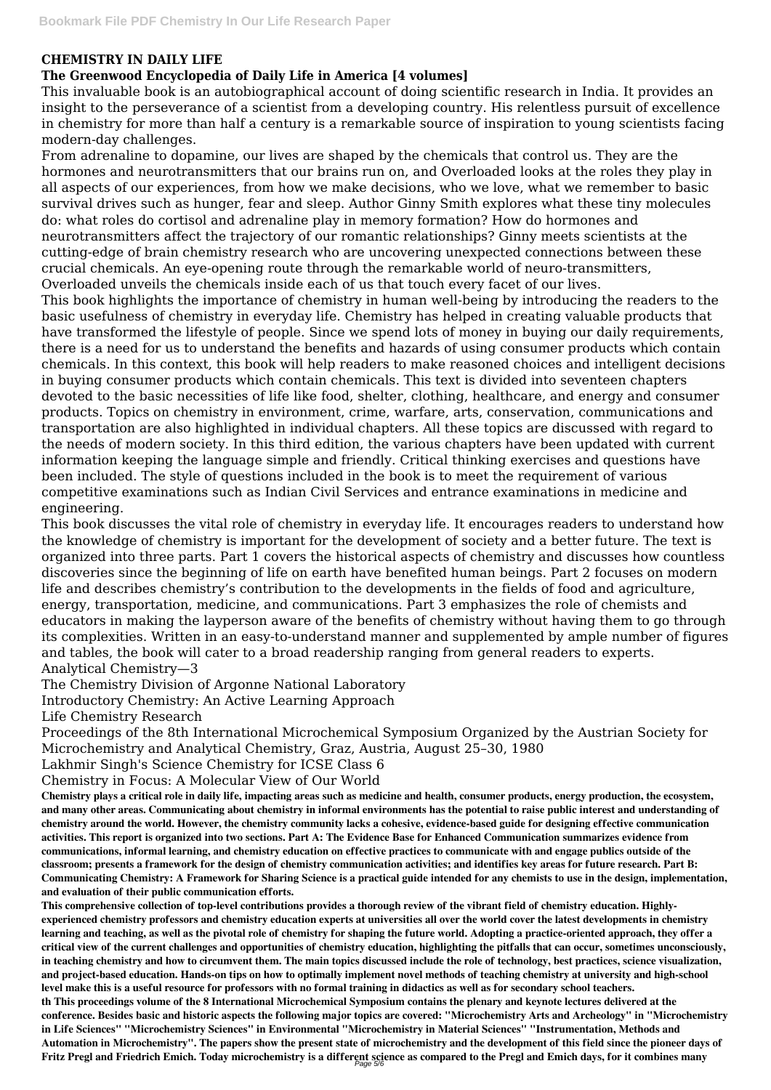## **CHEMISTRY IN DAILY LIFE**

## **The Greenwood Encyclopedia of Daily Life in America [4 volumes]**

This invaluable book is an autobiographical account of doing scientific research in India. It provides an insight to the perseverance of a scientist from a developing country. His relentless pursuit of excellence in chemistry for more than half a century is a remarkable source of inspiration to young scientists facing modern-day challenges.

From adrenaline to dopamine, our lives are shaped by the chemicals that control us. They are the hormones and neurotransmitters that our brains run on, and Overloaded looks at the roles they play in all aspects of our experiences, from how we make decisions, who we love, what we remember to basic survival drives such as hunger, fear and sleep. Author Ginny Smith explores what these tiny molecules do: what roles do cortisol and adrenaline play in memory formation? How do hormones and neurotransmitters affect the trajectory of our romantic relationships? Ginny meets scientists at the cutting-edge of brain chemistry research who are uncovering unexpected connections between these crucial chemicals. An eye-opening route through the remarkable world of neuro-transmitters, Overloaded unveils the chemicals inside each of us that touch every facet of our lives.

This book highlights the importance of chemistry in human well-being by introducing the readers to the basic usefulness of chemistry in everyday life. Chemistry has helped in creating valuable products that have transformed the lifestyle of people. Since we spend lots of money in buying our daily requirements, there is a need for us to understand the benefits and hazards of using consumer products which contain chemicals. In this context, this book will help readers to make reasoned choices and intelligent decisions in buying consumer products which contain chemicals. This text is divided into seventeen chapters devoted to the basic necessities of life like food, shelter, clothing, healthcare, and energy and consumer products. Topics on chemistry in environment, crime, warfare, arts, conservation, communications and transportation are also highlighted in individual chapters. All these topics are discussed with regard to the needs of modern society. In this third edition, the various chapters have been updated with current information keeping the language simple and friendly. Critical thinking exercises and questions have been included. The style of questions included in the book is to meet the requirement of various competitive examinations such as Indian Civil Services and entrance examinations in medicine and engineering.

This book discusses the vital role of chemistry in everyday life. It encourages readers to understand how the knowledge of chemistry is important for the development of society and a better future. The text is organized into three parts. Part 1 covers the historical aspects of chemistry and discusses how countless discoveries since the beginning of life on earth have benefited human beings. Part 2 focuses on modern life and describes chemistry's contribution to the developments in the fields of food and agriculture, energy, transportation, medicine, and communications. Part 3 emphasizes the role of chemists and educators in making the layperson aware of the benefits of chemistry without having them to go through its complexities. Written in an easy-to-understand manner and supplemented by ample number of figures and tables, the book will cater to a broad readership ranging from general readers to experts. Analytical Chemistry—3

The Chemistry Division of Argonne National Laboratory

Introductory Chemistry: An Active Learning Approach

Life Chemistry Research

Proceedings of the 8th International Microchemical Symposium Organized by the Austrian Society for Microchemistry and Analytical Chemistry, Graz, Austria, August 25–30, 1980

Lakhmir Singh's Science Chemistry for ICSE Class 6

Chemistry in Focus: A Molecular View of Our World

**Chemistry plays a critical role in daily life, impacting areas such as medicine and health, consumer products, energy production, the ecosystem, and many other areas. Communicating about chemistry in informal environments has the potential to raise public interest and understanding of chemistry around the world. However, the chemistry community lacks a cohesive, evidence-based guide for designing effective communication activities. This report is organized into two sections. Part A: The Evidence Base for Enhanced Communication summarizes evidence from communications, informal learning, and chemistry education on effective practices to communicate with and engage publics outside of the classroom; presents a framework for the design of chemistry communication activities; and identifies key areas for future research. Part B: Communicating Chemistry: A Framework for Sharing Science is a practical guide intended for any chemists to use in the design, implementation, and evaluation of their public communication efforts. This comprehensive collection of top-level contributions provides a thorough review of the vibrant field of chemistry education. Highlyexperienced chemistry professors and chemistry education experts at universities all over the world cover the latest developments in chemistry learning and teaching, as well as the pivotal role of chemistry for shaping the future world. Adopting a practice-oriented approach, they offer a critical view of the current challenges and opportunities of chemistry education, highlighting the pitfalls that can occur, sometimes unconsciously, in teaching chemistry and how to circumvent them. The main topics discussed include the role of technology, best practices, science visualization, and project-based education. Hands-on tips on how to optimally implement novel methods of teaching chemistry at university and high-school level make this is a useful resource for professors with no formal training in didactics as well as for secondary school teachers. th This proceedings volume of the 8 International Microchemical Symposium contains the plenary and keynote lectures delivered at the conference. Besides basic and historic aspects the following major topics are covered: "Microchemistry Arts and Archeology" in "Microchemistry in Life Sciences" "Microchemistry Sciences" in Environmental "Microchemistry in Material Sciences" "Instrumentation, Methods and Automation in Microchemistry". The papers show the present state of microchemistry and the development of this field since the pioneer days of Fritz Pregl and Friedrich Emich. Today microchemistry is a different science as compared to the Pregl and Emich days, for it combines many** Page 5/6